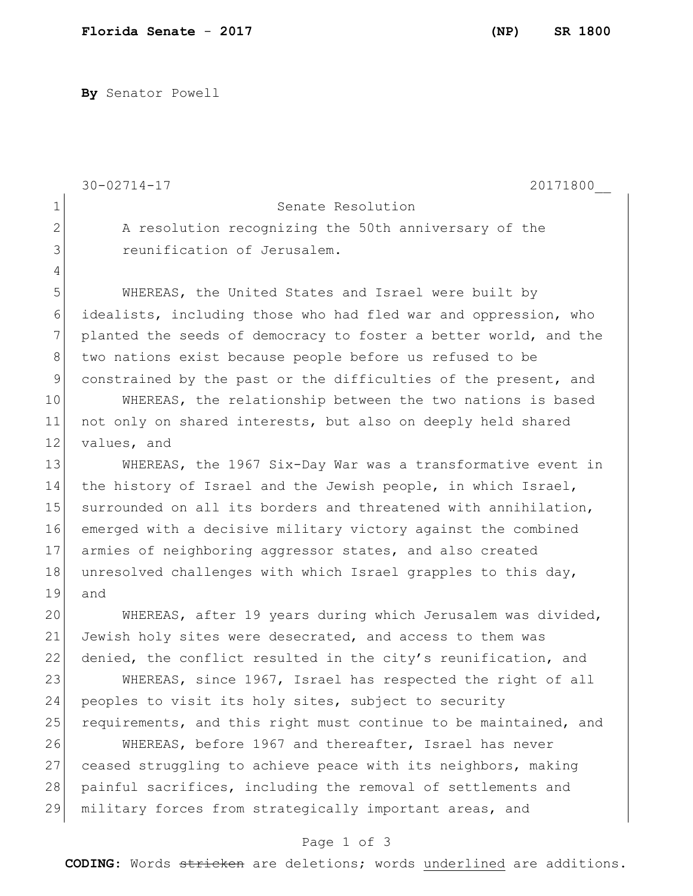**By** Senator Powell

30-02714-17 20171800\_\_

4

1 Senate Resolution

2 A resolution recognizing the 50th anniversary of the 3 **Superification** of Jerusalem.

5 WHEREAS, the United States and Israel were built by 6 idealists, including those who had fled war and oppression, who 7 planted the seeds of democracy to foster a better world, and the 8 two nations exist because people before us refused to be 9 constrained by the past or the difficulties of the present, and

10 WHEREAS, the relationship between the two nations is based 11 not only on shared interests, but also on deeply held shared 12 values, and

13 WHEREAS, the 1967 Six-Day War was a transformative event in 14 the history of Israel and the Jewish people, in which Israel, 15 surrounded on all its borders and threatened with annihilation, 16 emerged with a decisive military victory against the combined 17 armies of neighboring aggressor states, and also created 18 unresolved challenges with which Israel grapples to this day, 19 and

20 WHEREAS, after 19 years during which Jerusalem was divided, 21 Jewish holy sites were desecrated, and access to them was 22 denied, the conflict resulted in the city's reunification, and

23 WHEREAS, since 1967, Israel has respected the right of all 24 peoples to visit its holy sites, subject to security 25 requirements, and this right must continue to be maintained, and

26 WHEREAS, before 1967 and thereafter, Israel has never 27 ceased struggling to achieve peace with its neighbors, making 28 painful sacrifices, including the removal of settlements and 29 military forces from strategically important areas, and

## Page 1 of 3

**CODING**: Words stricken are deletions; words underlined are additions.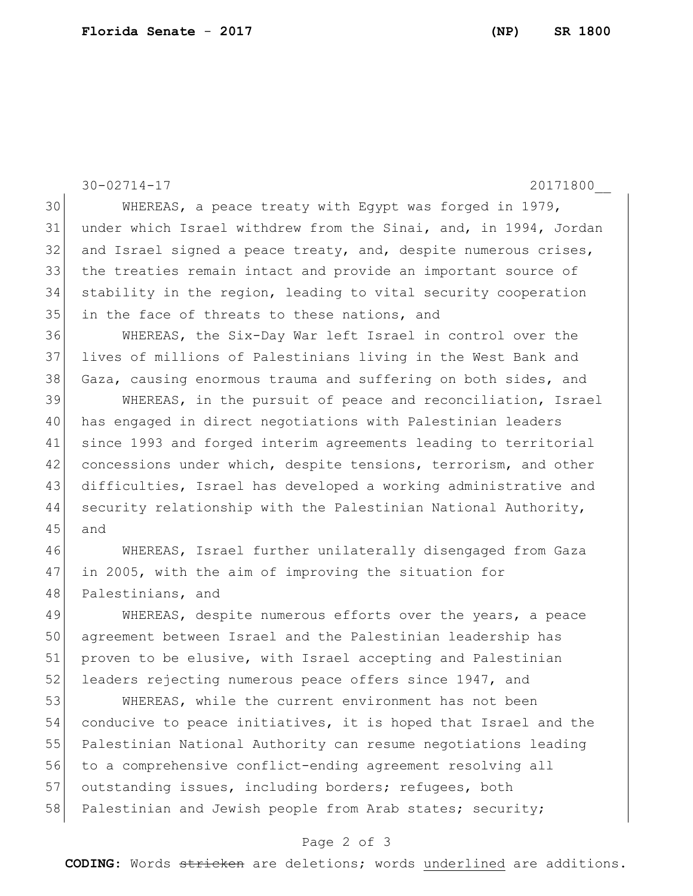30-02714-17 20171800\_\_ 30 WHEREAS, a peace treaty with Egypt was forged in 1979, under which Israel withdrew from the Sinai, and, in 1994, Jordan 32 and Israel signed a peace treaty, and, despite numerous crises, the treaties remain intact and provide an important source of stability in the region, leading to vital security cooperation in the face of threats to these nations, and WHEREAS, the Six-Day War left Israel in control over the lives of millions of Palestinians living in the West Bank and 38 Gaza, causing enormous trauma and suffering on both sides, and WHEREAS, in the pursuit of peace and reconciliation, Israel has engaged in direct negotiations with Palestinian leaders since 1993 and forged interim agreements leading to territorial 42 concessions under which, despite tensions, terrorism, and other difficulties, Israel has developed a working administrative and security relationship with the Palestinian National Authority, 45 and WHEREAS, Israel further unilaterally disengaged from Gaza in 2005, with the aim of improving the situation for 48 Palestinians, and 49 WHEREAS, despite numerous efforts over the years, a peace agreement between Israel and the Palestinian leadership has 51 proven to be elusive, with Israel accepting and Palestinian 52 leaders rejecting numerous peace offers since 1947, and WHEREAS, while the current environment has not been conducive to peace initiatives, it is hoped that Israel and the Palestinian National Authority can resume negotiations leading to a comprehensive conflict-ending agreement resolving all 57 outstanding issues, including borders; refugees, both

## Page 2 of 3

58 Palestinian and Jewish people from Arab states; security;

**CODING**: Words stricken are deletions; words underlined are additions.